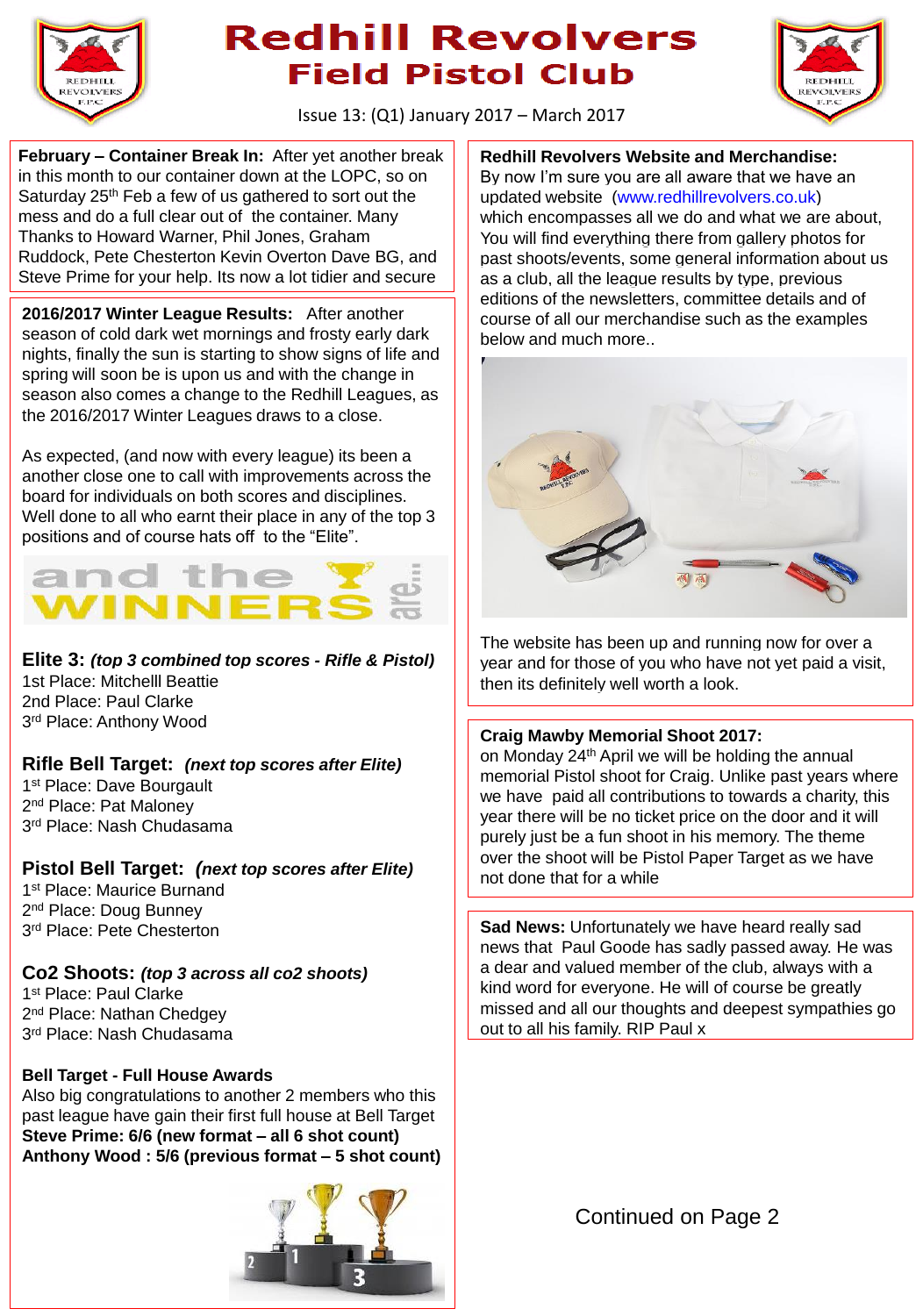

# **Redhill Revolvers Field Pistol Club**



Issue 13: (Q1) January 2017 – March 2017

**February – Container Break In:** After yet another break in this month to our container down at the LOPC, so on Saturday 25<sup>th</sup> Feb a few of us gathered to sort out the mess and do a full clear out of the container. Many Thanks to Howard Warner, Phil Jones, Graham Ruddock, Pete Chesterton Kevin Overton Dave BG, and Steve Prime for your help. Its now a lot tidier and secure

**2016/2017 Winter League Results:** After another season of cold dark wet mornings and frosty early dark nights, finally the sun is starting to show signs of life and spring will soon be is upon us and with the change in season also comes a change to the Redhill Leagues, as the 2016/2017 Winter Leagues draws to a close.

As expected, (and now with every league) its been a another close one to call with improvements across the board for individuals on both scores and disciplines. Well done to all who earnt their place in any of the top 3 positions and of course hats off to the "Elite".



**Elite 3:** *(top 3 combined top scores - Rifle & Pistol)* 1st Place: Mitchelll Beattie 2nd Place: Paul Clarke 3<sup>rd</sup> Place: Anthony Wood

### **Rifle Bell Target:** *(next top scores after Elite)*

1<sup>st</sup> Place: Dave Bourgault 2<sup>nd</sup> Place: Pat Maloney 3 rd Place: Nash Chudasama

### **Pistol Bell Target:** *(next top scores after Elite)*

1<sup>st</sup> Place: Maurice Burnand 2<sup>nd</sup> Place: Doug Bunney 3 rd Place: Pete Chesterton

**Co2 Shoots:** *(top 3 across all co2 shoots)* 1st Place: Paul Clarke 2<sup>nd</sup> Place: Nathan Chedgey

3 rd Place: Nash Chudasama

### **Bell Target - Full House Awards**

Also big congratulations to another 2 members who this past league have gain their first full house at Bell Target **Steve Prime: 6/6 (new format – all 6 shot count) Anthony Wood : 5/6 (previous format – 5 shot count)**



**Redhill Revolvers Website and Merchandise:** By now I'm sure you are all aware that we have an updated website [\(www.redhillrevolvers.co.uk\)](http://www.redhillrevolvers.co.uk/) which encompasses all we do and what we are about, You will find everything there from gallery photos for past shoots/events, some general information about us as a club, all the league results by type, previous editions of the newsletters, committee details and of course of all our merchandise such as the examples below and much more..



The website has been up and running now for over a year and for those of you who have not yet paid a visit, then its definitely well worth a look.

#### **Craig Mawby Memorial Shoot 2017:**

on Monday 24th April we will be holding the annual memorial Pistol shoot for Craig. Unlike past years where we have paid all contributions to towards a charity, this year there will be no ticket price on the door and it will purely just be a fun shoot in his memory. The theme over the shoot will be Pistol Paper Target as we have not done that for a while

**Sad News:** Unfortunately we have heard really sad news that Paul Goode has sadly passed away. He was a dear and valued member of the club, always with a kind word for everyone. He will of course be greatly missed and all our thoughts and deepest sympathies go out to all his family. RIP Paul x

Continued on Page 2